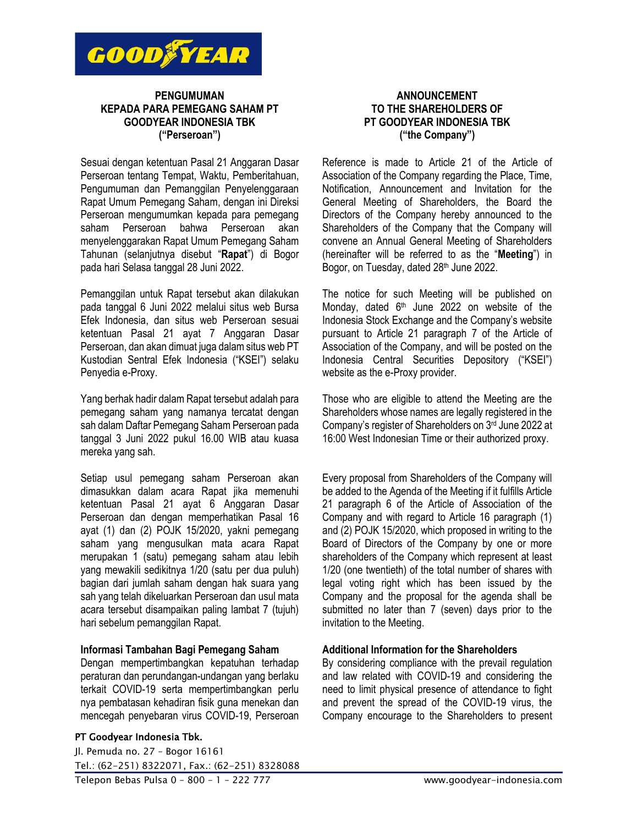

# **PENGUMUMAN KEPADA PARA PEMEGANG SAHAM PT GOODYEAR INDONESIA TBK ("Perseroan")**

Sesuai dengan ketentuan Pasal 21 Anggaran Dasar Perseroan tentang Tempat, Waktu, Pemberitahuan, Pengumuman dan Pemanggilan Penyelenggaraan Rapat Umum Pemegang Saham, dengan ini Direksi Perseroan mengumumkan kepada para pemegang saham Perseroan bahwa Perseroan akan menyelenggarakan Rapat Umum Pemegang Saham Tahunan (selanjutnya disebut "**Rapat**") di Bogor pada hari Selasa tanggal 28 Juni 2022.

Pemanggilan untuk Rapat tersebut akan dilakukan pada tanggal 6 Juni 2022 melalui situs web Bursa Efek Indonesia, dan situs web Perseroan sesuai ketentuan Pasal 21 ayat 7 Anggaran Dasar Perseroan, dan akan dimuat juga dalam situs web PT Kustodian Sentral Efek Indonesia ("KSEI") selaku Penyedia e-Proxy.

Yang berhak hadir dalam Rapat tersebut adalah para pemegang saham yang namanya tercatat dengan sah dalam Daftar Pemegang Saham Perseroan pada tanggal 3 Juni 2022 pukul 16.00 WIB atau kuasa mereka yang sah.

Setiap usul pemegang saham Perseroan akan dimasukkan dalam acara Rapat jika memenuhi ketentuan Pasal 21 ayat 6 Anggaran Dasar Perseroan dan dengan memperhatikan Pasal 16 ayat (1) dan (2) POJK 15/2020, yakni pemegang saham yang mengusulkan mata acara Rapat merupakan 1 (satu) pemegang saham atau lebih yang mewakili sedikitnya 1/20 (satu per dua puluh) bagian dari jumlah saham dengan hak suara yang sah yang telah dikeluarkan Perseroan dan usul mata acara tersebut disampaikan paling lambat 7 (tujuh) hari sebelum pemanggilan Rapat.

### **Informasi Tambahan Bagi Pemegang Saham**

Dengan mempertimbangkan kepatuhan terhadap peraturan dan perundangan-undangan yang berlaku terkait COVID-19 serta mempertimbangkan perlu nya pembatasan kehadiran fisik guna menekan dan mencegah penyebaran virus COVID-19, Perseroan

#### PT Goodyear Indonesia Tbk.

Jl. Pemuda no. 27 – Bogor 16161 Tel.: (62-251) 8322071, Fax.: (62-251) 8328088 Telepon Bebas Pulsa 0 – 800 – 1 – 222 777 www.goodyear-indonesia.com

## **ANNOUNCEMENT TO THE SHAREHOLDERS OF PT GOODYEAR INDONESIA TBK ("the Company")**

Reference is made to Article 21 of the Article of Association of the Company regarding the Place, Time, Notification, Announcement and Invitation for the General Meeting of Shareholders, the Board the Directors of the Company hereby announced to the Shareholders of the Company that the Company will convene an Annual General Meeting of Shareholders (hereinafter will be referred to as the "**Meeting**") in Bogor, on Tuesday, dated 28<sup>th</sup> June 2022.

The notice for such Meeting will be published on Monday, dated 6<sup>th</sup> June 2022 on website of the Indonesia Stock Exchange and the Company's website pursuant to Article 21 paragraph 7 of the Article of Association of the Company, and will be posted on the Indonesia Central Securities Depository ("KSEI") website as the e-Proxy provider.

Those who are eligible to attend the Meeting are the Shareholders whose names are legally registered in the Company's register of Shareholders on 3 rd June 2022 at 16:00 West Indonesian Time or their authorized proxy.

Every proposal from Shareholders of the Company will be added to the Agenda of the Meeting if it fulfills Article 21 paragraph 6 of the Article of Association of the Company and with regard to Article 16 paragraph (1) and (2) POJK 15/2020, which proposed in writing to the Board of Directors of the Company by one or more shareholders of the Company which represent at least 1/20 (one twentieth) of the total number of shares with legal voting right which has been issued by the Company and the proposal for the agenda shall be submitted no later than 7 (seven) days prior to the invitation to the Meeting.

## **Additional Information for the Shareholders**

By considering compliance with the prevail regulation and law related with COVID-19 and considering the need to limit physical presence of attendance to fight and prevent the spread of the COVID-19 virus, the Company encourage to the Shareholders to present